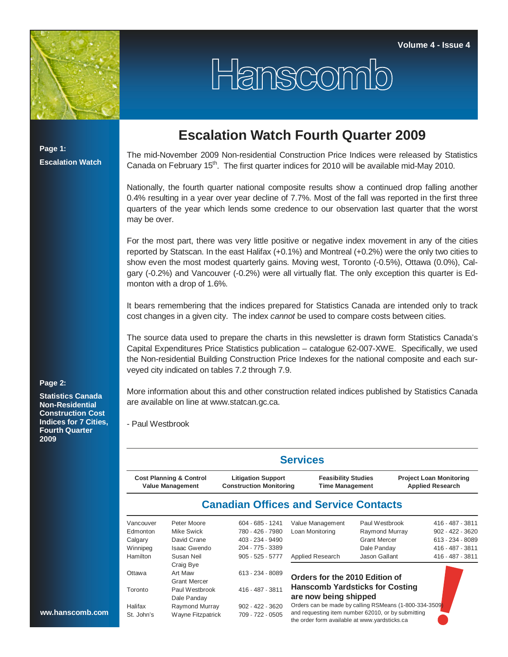

Hanscomb

**Page 1: Escalation Watch**

## **Escalation Watch Fourth Quarter 2009**

The mid-November 2009 Non-residential Construction Price Indices were released by Statistics Canada on February 15<sup>th</sup>. The first quarter indices for 2010 will be available mid-May 2010.

Nationally, the fourth quarter national composite results show a continued drop falling another 0.4% resulting in a year over year decline of 7.7%. Most of the fall was reported in the first three quarters of the year which lends some credence to our observation last quarter that the worst may be over.

For the most part, there was very little positive or negative index movement in any of the cities reported by Statscan. In the east Halifax (+0.1%) and Montreal (+0.2%) were the only two cities to show even the most modest quarterly gains. Moving west, Toronto (-0.5%), Ottawa (0.0%), Calgary (-0.2%) and Vancouver (-0.2%) were all virtually flat. The only exception this quarter is Edmonton with a drop of 1.6%.

It bears remembering that the indices prepared for Statistics Canada are intended only to track cost changes in a given city. The index *cannot* be used to compare costs between cities.

The source data used to prepare the charts in this newsletter is drawn form Statistics Canada's Capital Expenditures Price Statistics publication – catalogue 62-007-XWE. Specifically, we used the Non-residential Building Construction Price Indexes for the national composite and each surveyed city indicated on tables 7.2 through 7.9.

More information about this and other construction related indices published by Statistics Canada

## **Page 2:**

**Statistics Canada Non-Residential Construction Cost Indices for 7 Cities, Fourth Quarter 2009**

are available on line at www.statcan.gc.ca.

- Paul Westbrook

|                                                                                                                              | <b>Services</b>     |                    |                                                                                                     |                     |                                                           |                    |  |  |  |  |  |  |
|------------------------------------------------------------------------------------------------------------------------------|---------------------|--------------------|-----------------------------------------------------------------------------------------------------|---------------------|-----------------------------------------------------------|--------------------|--|--|--|--|--|--|
| <b>Cost Planning &amp; Control</b><br><b>Litigation Support</b><br><b>Value Management</b><br><b>Construction Monitoring</b> |                     |                    | <b>Feasibility Studies</b><br><b>Time Management</b>                                                |                     | <b>Project Loan Monitoring</b><br><b>Applied Research</b> |                    |  |  |  |  |  |  |
|                                                                                                                              |                     |                    | <b>Canadian Offices and Service Contacts</b>                                                        |                     |                                                           |                    |  |  |  |  |  |  |
| Vancouver                                                                                                                    | Peter Moore         | 604 - 685 - 1241   | Value Management                                                                                    | Paul Westbrook      |                                                           | 416 - 487 - 3811   |  |  |  |  |  |  |
| Edmonton                                                                                                                     | Mike Swick          | 780 - 426 - 7980   | Loan Monitoring                                                                                     | Raymond Murray      |                                                           | $902 - 422 - 3620$ |  |  |  |  |  |  |
| Calgary                                                                                                                      | David Crane         | 403 - 234 - 9490   |                                                                                                     | <b>Grant Mercer</b> |                                                           | 613 - 234 - 8089   |  |  |  |  |  |  |
| Winnipeg                                                                                                                     | Isaac Gwendo        | 204 - 775 - 3389   |                                                                                                     | Dale Panday         |                                                           | 416 - 487 - 3811   |  |  |  |  |  |  |
| <b>Hamilton</b>                                                                                                              | Susan Neil          | $905 - 525 - 5777$ | Applied Research                                                                                    | Jason Gallant       |                                                           | 416 - 487 - 3811   |  |  |  |  |  |  |
|                                                                                                                              | Craig Bye           |                    |                                                                                                     |                     |                                                           |                    |  |  |  |  |  |  |
| Ottawa                                                                                                                       | Art Maw             | $613 - 234 - 8089$ | Orders for the 2010 Edition of                                                                      |                     |                                                           |                    |  |  |  |  |  |  |
|                                                                                                                              | <b>Grant Mercer</b> |                    |                                                                                                     |                     |                                                           |                    |  |  |  |  |  |  |
| Toronto                                                                                                                      | Paul Westbrook      | 416 - 487 - 3811   | <b>Hanscomb Yardsticks for Costing</b>                                                              |                     |                                                           |                    |  |  |  |  |  |  |
|                                                                                                                              | Dale Panday         |                    | are now being shipped                                                                               |                     |                                                           |                    |  |  |  |  |  |  |
| Halifax                                                                                                                      | Raymond Murray      | $902 - 422 - 3620$ | Orders can be made by calling RSMeans (1-800-334-3509)                                              |                     |                                                           |                    |  |  |  |  |  |  |
| St. John's                                                                                                                   | Wayne Fitzpatrick   | 709 - 722 - 0505   | and requesting item number 62010, or by submitting<br>the order form available at www.yardsticks.ca |                     |                                                           |                    |  |  |  |  |  |  |

**ww.hanscomb.com**